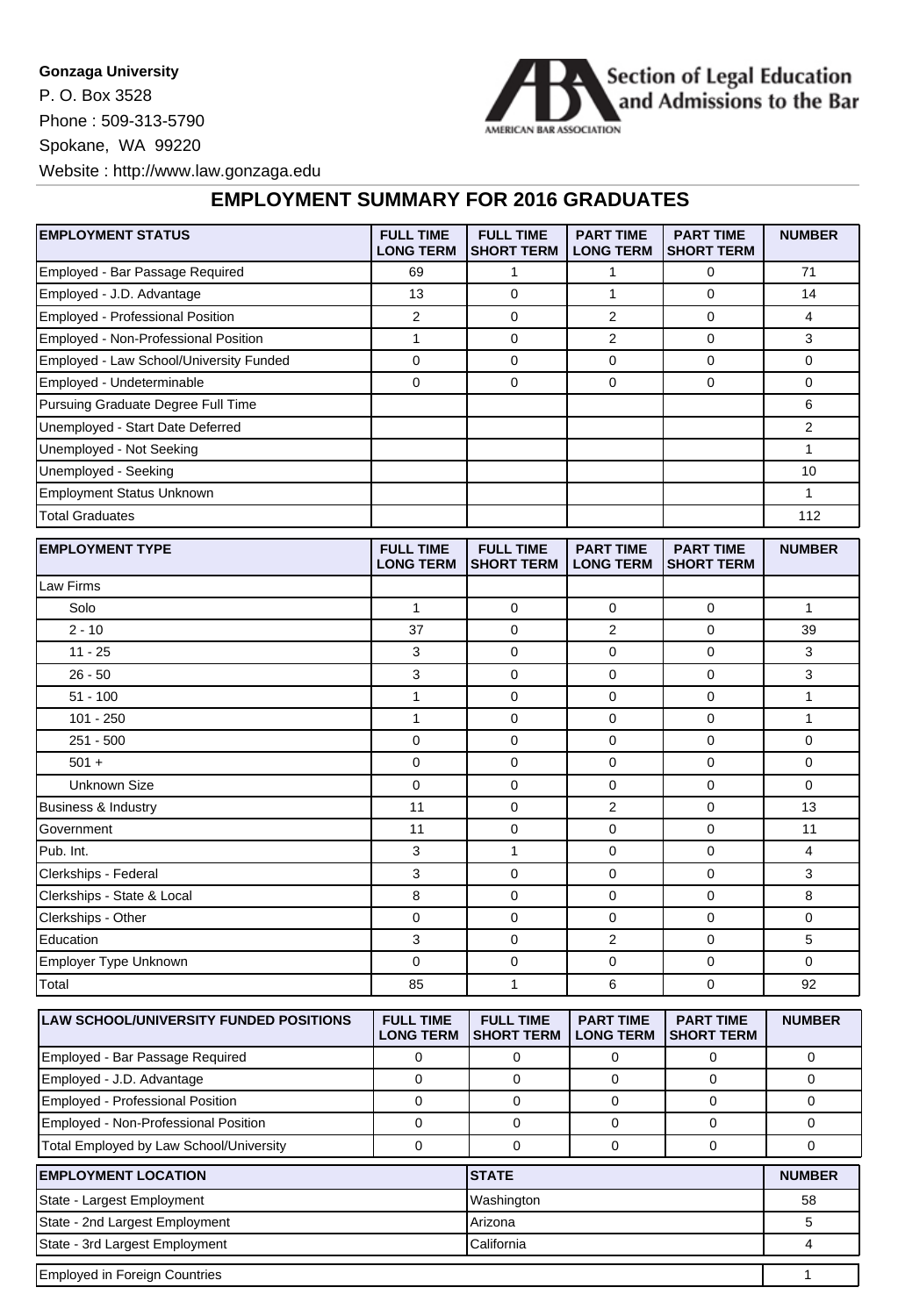## **Gonzaga University**

P. O. Box 3528 Phone : 509-313-5790 Spokane, WA 99220



Website : http://www.law.gonzaga.edu

## **EMPLOYMENT SUMMARY FOR 2016 GRADUATES**

| <b>EMPLOYMENT STATUS</b>                | <b>FULL TIME</b><br><b>LONG TERM</b> | <b>FULL TIME</b><br><b>SHORT TERM</b> | <b>PART TIME</b><br><b>LONG TERM</b> | <b>PART TIME</b><br><b>SHORT TERM</b> | <b>NUMBER</b>  |
|-----------------------------------------|--------------------------------------|---------------------------------------|--------------------------------------|---------------------------------------|----------------|
| Employed - Bar Passage Required         | 69                                   | $\mathbf{1}$                          | 1                                    | 0                                     | 71             |
| Employed - J.D. Advantage               | 13                                   | 0                                     | $\mathbf{1}$                         | $\mathbf 0$                           | 14             |
| Employed - Professional Position        | $\overline{2}$                       | 0                                     | 2                                    | $\mathbf 0$                           | 4              |
| Employed - Non-Professional Position    | $\mathbf{1}$                         | 0                                     | $\overline{2}$                       | $\mathbf 0$                           | 3              |
| Employed - Law School/University Funded | 0                                    | 0                                     | 0                                    | $\mathbf 0$                           | 0              |
| Employed - Undeterminable               | $\mathbf 0$                          | 0                                     | $\Omega$                             | $\Omega$                              | 0              |
| Pursuing Graduate Degree Full Time      |                                      |                                       |                                      |                                       | 6              |
| Unemployed - Start Date Deferred        |                                      |                                       |                                      |                                       | $\overline{2}$ |
| Unemployed - Not Seeking                |                                      |                                       |                                      |                                       | $\mathbf{1}$   |
| Unemployed - Seeking                    |                                      |                                       |                                      |                                       | 10             |
| <b>Employment Status Unknown</b>        |                                      |                                       |                                      |                                       | $\mathbf{1}$   |
| <b>Total Graduates</b>                  |                                      |                                       |                                      |                                       | 112            |
| <b>EMPLOYMENT TYPE</b>                  | <b>FULL TIME</b><br><b>LONG TERM</b> | <b>FULL TIME</b><br><b>SHORT TERM</b> | <b>PART TIME</b><br><b>LONG TERM</b> | <b>PART TIME</b><br><b>SHORT TERM</b> | <b>NUMBER</b>  |
| Law Firms                               |                                      |                                       |                                      |                                       |                |
| Solo                                    | $\mathbf{1}$                         | 0                                     | $\mathbf 0$                          | $\mathbf 0$                           | $\mathbf{1}$   |
| $2 - 10$                                | 37                                   | 0                                     | $\overline{2}$                       | $\mathbf 0$                           | 39             |
| $11 - 25$                               | 3                                    | 0                                     | 0                                    | $\mathbf 0$                           | 3              |
| $26 - 50$                               | 3                                    | 0                                     | 0                                    | 0                                     | 3              |
| $51 - 100$                              | $\mathbf{1}$                         | 0                                     | 0                                    | 0                                     | $\mathbf{1}$   |
| $101 - 250$                             | $\mathbf{1}$                         | 0                                     | 0                                    | 0                                     | $\mathbf{1}$   |
| $251 - 500$                             | $\mathbf 0$                          | 0                                     | 0                                    | $\mathbf 0$                           | 0              |
| $501 +$                                 | $\mathbf 0$                          | 0                                     | 0                                    | $\mathbf 0$                           | 0              |
| <b>Unknown Size</b>                     | $\mathbf 0$                          | 0                                     | 0                                    | $\mathbf 0$                           | 0              |
| Business & Industry                     | 11                                   | 0                                     | $\overline{2}$                       | 0                                     | 13             |
| Government                              | 11                                   | 0                                     | 0                                    | $\mathbf 0$                           | 11             |
| Pub. Int.                               | 3                                    | $\mathbf{1}$                          | 0                                    | 0                                     | 4              |
| Clerkships - Federal                    | 3                                    | 0                                     | 0                                    | $\mathbf 0$                           | 3              |
| Clerkships - State & Local              | 8                                    | 0                                     | 0                                    | 0                                     | 8              |
| Clerkships - Other                      | 0                                    | 0                                     | 0                                    | 0                                     | 0              |
| Education                               | 3                                    | 0                                     | $\overline{2}$                       | $\mathbf 0$                           | 5              |
| Employer Type Unknown                   | $\pmb{0}$                            | 0                                     | 0                                    | 0                                     | 0              |
| Total                                   | 85                                   | $\mathbf{1}$                          | 6                                    | $\mathbf 0$                           | 92             |
| LAW SCHOOL/UNIVERSITY FUNDED POSITIONS  | <b>FULL TIME</b>                     | <b>FULL TIME</b>                      | <b>PART TIME</b>                     | <b>PART TIME</b>                      | <b>NUMBER</b>  |

| LAW SUNUULJUNIVERSITT FUNDED FUSITIUNS  | FULL TIME<br><b>LONG TERM</b> | <b>FULL INNE</b><br><b>ISHORT TERM</b> | <b>FARI IIVIE</b><br><b>LONG TERM</b> | <b>FARI IIVE</b><br><b>ISHORT TERM</b> | NUMBER        |
|-----------------------------------------|-------------------------------|----------------------------------------|---------------------------------------|----------------------------------------|---------------|
| Employed - Bar Passage Required         |                               |                                        |                                       |                                        |               |
| Employed - J.D. Advantage               |                               |                                        |                                       |                                        |               |
| <b>Employed - Professional Position</b> |                               |                                        |                                       |                                        |               |
| Employed - Non-Professional Position    |                               |                                        |                                       |                                        |               |
| Total Employed by Law School/University |                               |                                        |                                       |                                        |               |
| <b>EMPLOYMENT LOCATION</b>              |                               | <b>STATE</b>                           |                                       |                                        | <b>NUMBER</b> |
| State - Largest Employment              |                               | Washington                             |                                       |                                        | 58            |
|                                         |                               |                                        |                                       |                                        |               |

| State - Largest Employment           | Washington       | 58 |  |
|--------------------------------------|------------------|----|--|
| State - 2nd Largest Employment       | <b>I</b> Arizona |    |  |
| State - 3rd Largest Employment       | 'California      |    |  |
| <b>Employed in Foreign Countries</b> |                  |    |  |